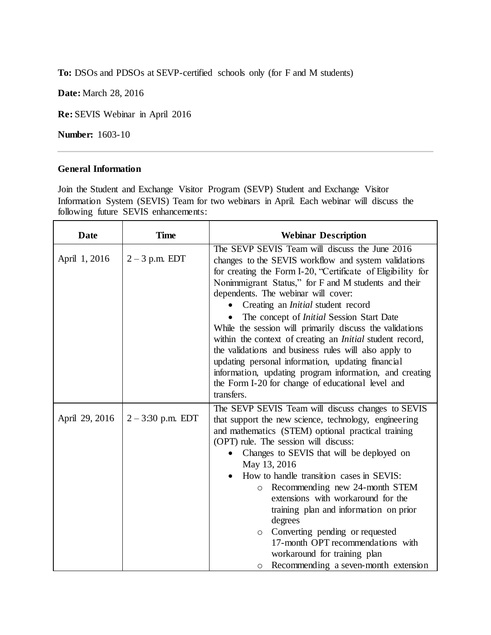**To:** DSOs and PDSOs at SEVP-certified schools only (for F and M students)

**Date:** March 28, 2016

**Re:** SEVIS Webinar in April 2016

**Number:** 1603-10

## **General Information**

Join the Student and Exchange Visitor Program (SEVP) Student and Exchange Visitor Information System (SEVIS) Team for two webinars in April. Each webinar will discuss the following future SEVIS enhancements:

| <b>Date</b>    | <b>Time</b>         | <b>Webinar Description</b>                                                                                                                                                                                                                                                                                                                                                                                                                                                                                                                                                                                                                                                                                                                        |
|----------------|---------------------|---------------------------------------------------------------------------------------------------------------------------------------------------------------------------------------------------------------------------------------------------------------------------------------------------------------------------------------------------------------------------------------------------------------------------------------------------------------------------------------------------------------------------------------------------------------------------------------------------------------------------------------------------------------------------------------------------------------------------------------------------|
| April 1, 2016  | $2 - 3$ p.m. EDT    | The SEVP SEVIS Team will discuss the June 2016<br>changes to the SEVIS workflow and system validations<br>for creating the Form I-20, "Certificate of Eligibility for<br>Nonimmigrant Status," for F and M students and their<br>dependents. The webinar will cover:<br>Creating an <i>Initial</i> student record<br>The concept of <i>Initial</i> Session Start Date<br>While the session will primarily discuss the validations<br>within the context of creating an <i>Initial</i> student record,<br>the validations and business rules will also apply to<br>updating personal information, updating financial<br>information, updating program information, and creating<br>the Form I-20 for change of educational level and<br>transfers. |
| April 29, 2016 | $2 - 3:30$ p.m. EDT | The SEVP SEVIS Team will discuss changes to SEVIS<br>that support the new science, technology, engineering<br>and mathematics (STEM) optional practical training<br>(OPT) rule. The session will discuss:<br>Changes to SEVIS that will be deployed on<br>May 13, 2016<br>How to handle transition cases in SEVIS:<br>Recommending new 24-month STEM<br>$\circ$<br>extensions with workaround for the<br>training plan and information on prior<br>degrees<br>Converting pending or requested<br>$\circ$<br>17-month OPT recommendations with<br>workaround for training plan<br>Recommending a seven-month extension<br>$\circ$                                                                                                                  |